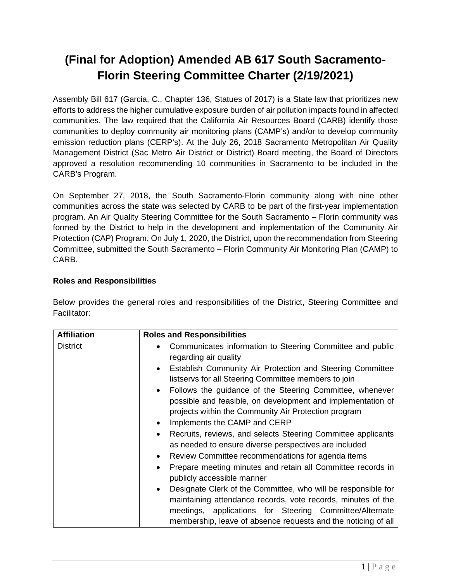# **(Final for Adoption) Amended AB 617 South Sacramento-Florin Steering Committee Charter (2/19/2021)**

Assembly Bill 617 (Garcia, C., Chapter 136, Statues of 2017) is a State law that prioritizes new efforts to address the higher cumulative exposure burden of air pollution impacts found in affected communities. The law required that the California Air Resources Board (CARB) identify those communities to deploy community air monitoring plans (CAMP's) and/or to develop community emission reduction plans (CERP's). At the July 26, 2018 Sacramento Metropolitan Air Quality Management District (Sac Metro Air District or District) Board meeting, the Board of Directors approved a resolution recommending 10 communities in Sacramento to be included in the CARB's Program.

On September 27, 2018, the South Sacramento-Florin community along with nine other communities across the state was selected by CARB to be part of the first-year implementation program. An Air Quality Steering Committee for the South Sacramento – Florin community was formed by the District to help in the development and implementation of the Community Air Protection (CAP) Program. On July 1, 2020, the District, upon the recommendation from Steering Committee, submitted the South Sacramento – Florin Community Air Monitoring Plan (CAMP) to CARB.

#### **Roles and Responsibilities**

Below provides the general roles and responsibilities of the District, Steering Committee and Facilitator:

| <b>Affiliation</b> | <b>Roles and Responsibilities</b>                                          |
|--------------------|----------------------------------------------------------------------------|
| <b>District</b>    | Communicates information to Steering Committee and public                  |
|                    | regarding air quality                                                      |
|                    | Establish Community Air Protection and Steering Committee<br>$\bullet$     |
|                    | listservs for all Steering Committee members to join                       |
|                    | Follows the guidance of the Steering Committee, whenever<br>$\bullet$      |
|                    | possible and feasible, on development and implementation of                |
|                    | projects within the Community Air Protection program                       |
|                    | Implements the CAMP and CERP<br>$\bullet$                                  |
|                    | Recruits, reviews, and selects Steering Committee applicants<br>$\bullet$  |
|                    | as needed to ensure diverse perspectives are included                      |
|                    | Review Committee recommendations for agenda items<br>$\bullet$             |
|                    | Prepare meeting minutes and retain all Committee records in<br>$\bullet$   |
|                    | publicly accessible manner                                                 |
|                    | Designate Clerk of the Committee, who will be responsible for<br>$\bullet$ |
|                    | maintaining attendance records, vote records, minutes of the               |
|                    | meetings, applications for Steering Committee/Alternate                    |
|                    | membership, leave of absence requests and the noticing of all              |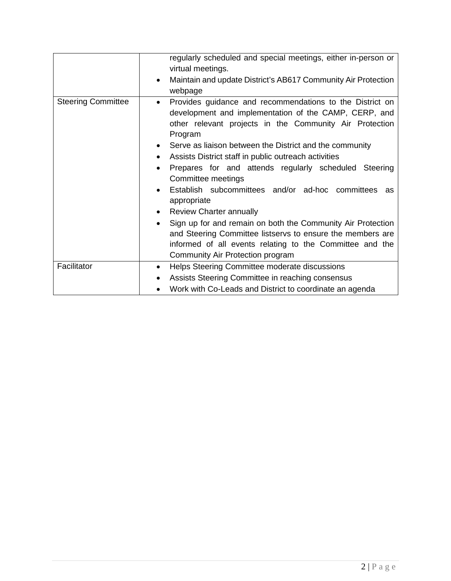|                           | regularly scheduled and special meetings, either in-person or<br>virtual meetings.                                                                                                                                                                                                                                                                                                                                                                                                                                                                                                                                                                                                                                                                             |
|---------------------------|----------------------------------------------------------------------------------------------------------------------------------------------------------------------------------------------------------------------------------------------------------------------------------------------------------------------------------------------------------------------------------------------------------------------------------------------------------------------------------------------------------------------------------------------------------------------------------------------------------------------------------------------------------------------------------------------------------------------------------------------------------------|
|                           | Maintain and update District's AB617 Community Air Protection<br>$\bullet$<br>webpage                                                                                                                                                                                                                                                                                                                                                                                                                                                                                                                                                                                                                                                                          |
| <b>Steering Committee</b> | Provides guidance and recommendations to the District on<br>$\bullet$<br>development and implementation of the CAMP, CERP, and<br>other relevant projects in the Community Air Protection<br>Program<br>Serve as liaison between the District and the community<br>Assists District staff in public outreach activities<br>Prepares for and attends regularly scheduled Steering<br>Committee meetings<br>Establish subcommittees and/or ad-hoc committees as<br>$\bullet$<br>appropriate<br>Review Charter annually<br>Sign up for and remain on both the Community Air Protection<br>$\bullet$<br>and Steering Committee listservs to ensure the members are<br>informed of all events relating to the Committee and the<br>Community Air Protection program |
| Facilitator               | Helps Steering Committee moderate discussions<br>$\bullet$                                                                                                                                                                                                                                                                                                                                                                                                                                                                                                                                                                                                                                                                                                     |
|                           | Assists Steering Committee in reaching consensus                                                                                                                                                                                                                                                                                                                                                                                                                                                                                                                                                                                                                                                                                                               |
|                           | Work with Co-Leads and District to coordinate an agenda                                                                                                                                                                                                                                                                                                                                                                                                                                                                                                                                                                                                                                                                                                        |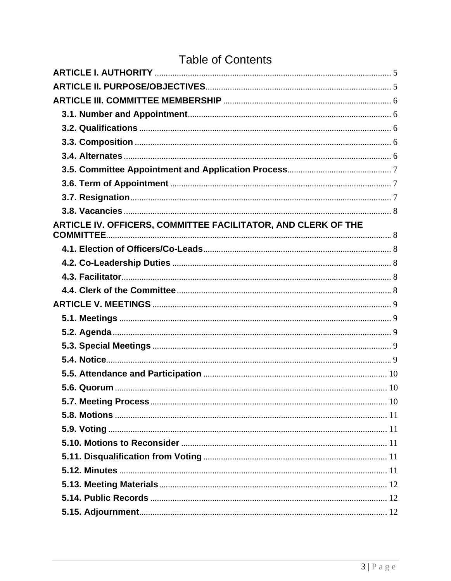|  | <b>Table of Contents</b> |
|--|--------------------------|
|  |                          |

| ARTICLE IV. OFFICERS, COMMITTEE FACILITATOR, AND CLERK OF THE |  |
|---------------------------------------------------------------|--|
|                                                               |  |
|                                                               |  |
|                                                               |  |
|                                                               |  |
|                                                               |  |
|                                                               |  |
|                                                               |  |
|                                                               |  |
|                                                               |  |
|                                                               |  |
|                                                               |  |
|                                                               |  |
|                                                               |  |
|                                                               |  |
|                                                               |  |
|                                                               |  |
|                                                               |  |
|                                                               |  |
|                                                               |  |
|                                                               |  |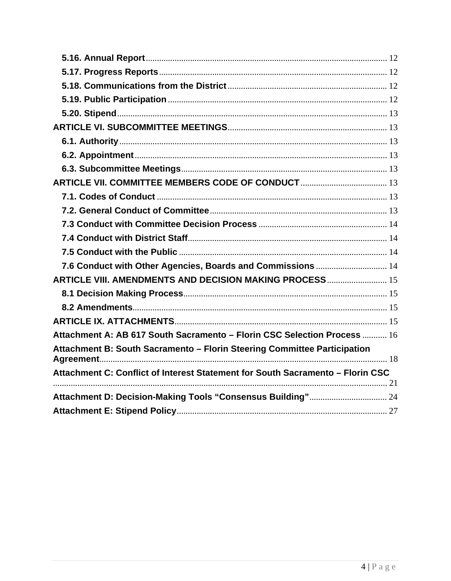| 7.6 Conduct with Other Agencies, Boards and Commissions  14                    |
|--------------------------------------------------------------------------------|
| ARTICLE VIII. AMENDMENTS AND DECISION MAKING PROCESS 15                        |
|                                                                                |
|                                                                                |
|                                                                                |
| Attachment A: AB 617 South Sacramento - Florin CSC Selection Process  16       |
| Attachment B: South Sacramento - Florin Steering Committee Participation       |
| Attachment C: Conflict of Interest Statement for South Sacramento - Florin CSC |
|                                                                                |
|                                                                                |
|                                                                                |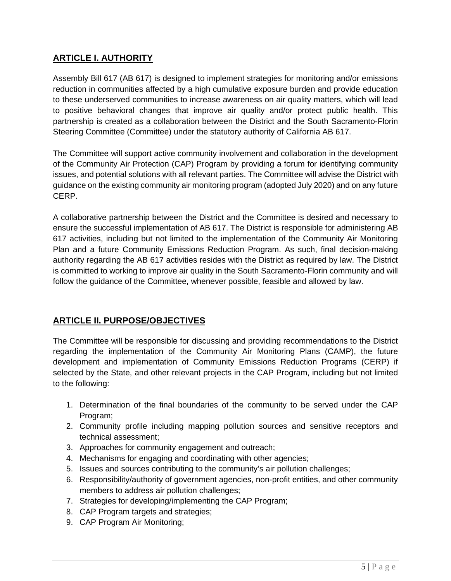# <span id="page-4-0"></span>**ARTICLE I. AUTHORITY**

Assembly Bill 617 (AB 617) is designed to implement strategies for monitoring and/or emissions reduction in communities affected by a high cumulative exposure burden and provide education to these underserved communities to increase awareness on air quality matters, which will lead to positive behavioral changes that improve air quality and/or protect public health. This partnership is created as a collaboration between the District and the South Sacramento-Florin Steering Committee (Committee) under the statutory authority of California AB 617.

The Committee will support active community involvement and collaboration in the development of the Community Air Protection (CAP) Program by providing a forum for identifying community issues, and potential solutions with all relevant parties. The Committee will advise the District with guidance on the existing community air monitoring program (adopted July 2020) and on any future CERP.

A collaborative partnership between the District and the Committee is desired and necessary to ensure the successful implementation of AB 617. The District is responsible for administering AB 617 activities, including but not limited to the implementation of the Community Air Monitoring Plan and a future Community Emissions Reduction Program. As such, final decision-making authority regarding the AB 617 activities resides with the District as required by law. The District is committed to working to improve air quality in the South Sacramento-Florin community and will follow the guidance of the Committee, whenever possible, feasible and allowed by law.

# <span id="page-4-1"></span>**ARTICLE II. PURPOSE/OBJECTIVES**

The Committee will be responsible for discussing and providing recommendations to the District regarding the implementation of the Community Air Monitoring Plans (CAMP), the future development and implementation of Community Emissions Reduction Programs (CERP) if selected by the State, and other relevant projects in the CAP Program, including but not limited to the following:

- 1. Determination of the final boundaries of the community to be served under the CAP Program;
- 2. Community profile including mapping pollution sources and sensitive receptors and technical assessment;
- 3. Approaches for community engagement and outreach;
- 4. Mechanisms for engaging and coordinating with other agencies;
- 5. Issues and sources contributing to the community's air pollution challenges;
- 6. Responsibility/authority of government agencies, non-profit entities, and other community members to address air pollution challenges;
- 7. Strategies for developing/implementing the CAP Program;
- 8. CAP Program targets and strategies;
- 9. CAP Program Air Monitoring;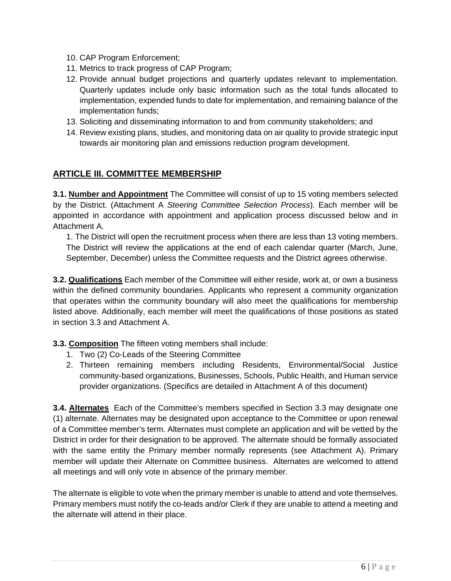- 10. CAP Program Enforcement;
- 11. Metrics to track progress of CAP Program;
- 12. Provide annual budget projections and quarterly updates relevant to implementation. Quarterly updates include only basic information such as the total funds allocated to implementation, expended funds to date for implementation, and remaining balance of the implementation funds;
- 13. Soliciting and disseminating information to and from community stakeholders; and
- 14. Review existing plans, studies, and monitoring data on air quality to provide strategic input towards air monitoring plan and emissions reduction program development.

#### <span id="page-5-0"></span>**ARTICLE III. COMMITTEE MEMBERSHIP**

<span id="page-5-1"></span>**3.1. Number and Appointment** The Committee will consist of up to 15 voting members selected by the District. (Attachment A *Steering Committee Selection Process*). Each member will be appointed in accordance with appointment and application process discussed below and in Attachment A.

1. The District will open the recruitment process when there are less than 13 voting members. The District will review the applications at the end of each calendar quarter (March, June, September, December) unless the Committee requests and the District agrees otherwise.

<span id="page-5-2"></span>**3.2. Qualifications** Each member of the Committee will either reside, work at, or own a business within the defined community boundaries. Applicants who represent a community organization that operates within the community boundary will also meet the qualifications for membership listed above. Additionally, each member will meet the qualifications of those positions as stated in section 3.3 and Attachment A.

#### <span id="page-5-3"></span>**3.3. Composition** The fifteen voting members shall include:

- 1. Two (2) Co-Leads of the Steering Committee
- 2. Thirteen remaining members including Residents, Environmental/Social Justice community-based organizations, Businesses, Schools, Public Health, and Human service provider organizations. (Specifics are detailed in Attachment A of this document)

<span id="page-5-4"></span>**3.4. Alternates** Each of the Committee's members specified in Section 3.3 may designate one (1) alternate. Alternates may be designated upon acceptance to the Committee or upon renewal of a Committee member's term. Alternates must complete an application and will be vetted by the District in order for their designation to be approved. The alternate should be formally associated with the same entity the Primary member normally represents (see Attachment A). Primary member will update their Alternate on Committee business. Alternates are welcomed to attend all meetings and will only vote in absence of the primary member.

The alternate is eligible to vote when the primary member is unable to attend and vote themselves. Primary members must notify the co-leads and/or Clerk if they are unable to attend a meeting and the alternate will attend in their place.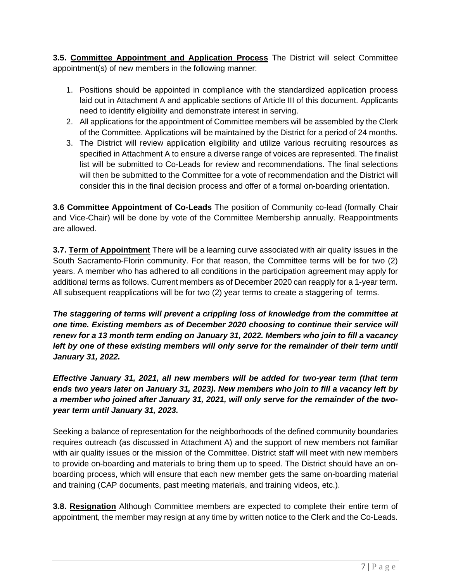<span id="page-6-0"></span>**3.5. Committee Appointment and Application Process** The District will select Committee appointment(s) of new members in the following manner:

- 1. Positions should be appointed in compliance with the standardized application process laid out in Attachment A and applicable sections of Article III of this document. Applicants need to identify eligibility and demonstrate interest in serving.
- 2. All applications for the appointment of Committee members will be assembled by the Clerk of the Committee. Applications will be maintained by the District for a period of 24 months.
- 3. The District will review application eligibility and utilize various recruiting resources as specified in Attachment A to ensure a diverse range of voices are represented. The finalist list will be submitted to Co-Leads for review and recommendations. The final selections will then be submitted to the Committee for a vote of recommendation and the District will consider this in the final decision process and offer of a formal on-boarding orientation.

**3.6 Committee Appointment of Co-Leads** The position of Community co-lead (formally Chair and Vice-Chair) will be done by vote of the Committee Membership annually. Reappointments are allowed.

<span id="page-6-1"></span>**3.7. Term of Appointment** There will be a learning curve associated with air quality issues in the South Sacramento-Florin community. For that reason, the Committee terms will be for two (2) years. A member who has adhered to all conditions in the participation agreement may apply for additional terms as follows. Current members as of December 2020 can reapply for a 1-year term. All subsequent reapplications will be for two (2) year terms to create a staggering of terms.

*The staggering of terms will prevent a crippling loss of knowledge from the committee at one time. Existing members as of December 2020 choosing to continue their service will renew for a 13 month term ending on January 31, 2022. Members who join to fill a vacancy left by one of these existing members will only serve for the remainder of their term until January 31, 2022.* 

*Effective January 31, 2021, all new members will be added for two-year term (that term ends two years later on January 31, 2023). New members who join to fill a vacancy left by a member who joined after January 31, 2021, will only serve for the remainder of the twoyear term until January 31, 2023.* 

Seeking a balance of representation for the neighborhoods of the defined community boundaries requires outreach (as discussed in Attachment A) and the support of new members not familiar with air quality issues or the mission of the Committee. District staff will meet with new members to provide on-boarding and materials to bring them up to speed. The District should have an onboarding process, which will ensure that each new member gets the same on-boarding material and training (CAP documents, past meeting materials, and training videos, etc.).

<span id="page-6-2"></span>**3.8. Resignation** Although Committee members are expected to complete their entire term of appointment, the member may resign at any time by written notice to the Clerk and the Co-Leads.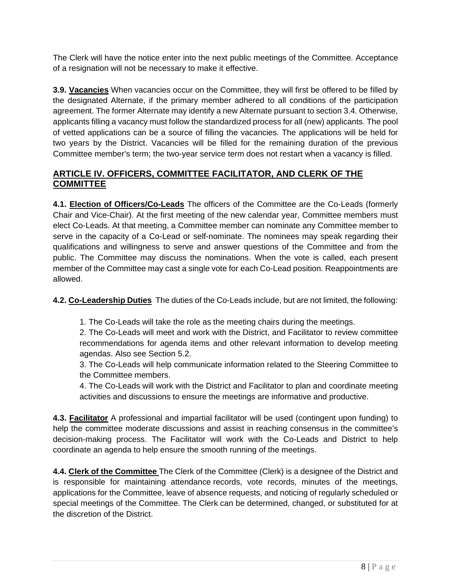The Clerk will have the notice enter into the next public meetings of the Committee. Acceptance of a resignation will not be necessary to make it effective.

<span id="page-7-0"></span>**3.9. Vacancies** When vacancies occur on the Committee, they will first be offered to be filled by the designated Alternate, if the primary member adhered to all conditions of the participation agreement. The former Alternate may identify a new Alternate pursuant to section 3.4. Otherwise, applicants filling a vacancy must follow the standardized process for all (new) applicants. The pool of vetted applications can be a source of filling the vacancies. The applications will be held for two years by the District. Vacancies will be filled for the remaining duration of the previous Committee member's term; the two-year service term does not restart when a vacancy is filled.

# <span id="page-7-1"></span>**ARTICLE IV. OFFICERS, COMMITTEE FACILITATOR, AND CLERK OF THE COMMITTEE**

<span id="page-7-2"></span>**4.1. Election of Officers/Co-Leads** The officers of the Committee are the Co-Leads (formerly Chair and Vice-Chair). At the first meeting of the new calendar year, Committee members must elect Co-Leads. At that meeting, a Committee member can nominate any Committee member to serve in the capacity of a Co-Lead or self-nominate. The nominees may speak regarding their qualifications and willingness to serve and answer questions of the Committee and from the public. The Committee may discuss the nominations. When the vote is called, each present member of the Committee may cast a single vote for each Co-Lead position. Reappointments are allowed.

<span id="page-7-3"></span>**4.2. Co-Leadership Duties** The duties of the Co-Leads include, but are not limited, the following:

1. The Co-Leads will take the role as the meeting chairs during the meetings.

2. The Co-Leads will meet and work with the District, and Facilitator to review committee recommendations for agenda items and other relevant information to develop meeting agendas. Also see Section 5.2.

3. The Co-Leads will help communicate information related to the Steering Committee to the Committee members.

4. The Co-Leads will work with the District and Facilitator to plan and coordinate meeting activities and discussions to ensure the meetings are informative and productive.

<span id="page-7-4"></span>**4.3. Facilitator** A professional and impartial facilitator will be used (contingent upon funding) to help the committee moderate discussions and assist in reaching consensus in the committee's decision-making process. The Facilitator will work with the Co-Leads and District to help coordinate an agenda to help ensure the smooth running of the meetings.

<span id="page-7-5"></span>**4.4. Clerk of the Committee** The Clerk of the Committee (Clerk) is a designee of the District and is responsible for maintaining attendance records, vote records, minutes of the meetings, applications for the Committee, leave of absence requests, and noticing of regularly scheduled or special meetings of the Committee. The Clerk can be determined, changed, or substituted for at the discretion of the District.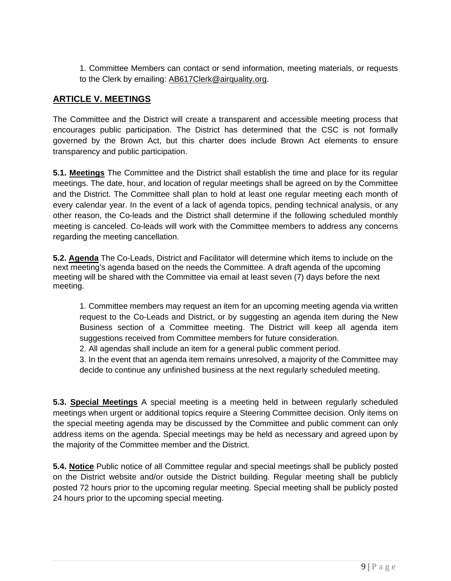1. Committee Members can contact or send information, meeting materials, or requests to the Clerk by emailing: [AB617Clerk@airquality.org.](mailto:AB617Clerk@airquality.org)

# <span id="page-8-0"></span>**ARTICLE V. MEETINGS**

The Committee and the District will create a transparent and accessible meeting process that encourages public participation. The District has determined that the CSC is not formally governed by the Brown Act, but this charter does include Brown Act elements to ensure transparency and public participation.

<span id="page-8-1"></span>**5.1. Meetings** The Committee and the District shall establish the time and place for its regular meetings. The date, hour, and location of regular meetings shall be agreed on by the Committee and the District. The Committee shall plan to hold at least one regular meeting each month of every calendar year. In the event of a lack of agenda topics, pending technical analysis, or any other reason, the Co-leads and the District shall determine if the following scheduled monthly meeting is canceled. Co-leads will work with the Committee members to address any concerns regarding the meeting cancellation.

<span id="page-8-2"></span>**5.2. Agenda** The Co-Leads, District and Facilitator will determine which items to include on the next meeting's agenda based on the needs the Committee. A draft agenda of the upcoming meeting will be shared with the Committee via email at least seven (7) days before the next meeting.

1. Committee members may request an item for an upcoming meeting agenda via written request to the Co-Leads and District, or by suggesting an agenda item during the New Business section of a Committee meeting. The District will keep all agenda item suggestions received from Committee members for future consideration.

2. All agendas shall include an item for a general public comment period.

3. In the event that an agenda item remains unresolved, a majority of the Committee may decide to continue any unfinished business at the next regularly scheduled meeting.

<span id="page-8-3"></span>**5.3. Special Meetings** A special meeting is a meeting held in between regularly scheduled meetings when urgent or additional topics require a Steering Committee decision. Only items on the special meeting agenda may be discussed by the Committee and public comment can only address items on the agenda. Special meetings may be held as necessary and agreed upon by the majority of the Committee member and the District.

<span id="page-8-4"></span>**5.4. Notice** Public notice of all Committee regular and special meetings shall be publicly posted on the District website and/or outside the District building. Regular meeting shall be publicly posted 72 hours prior to the upcoming regular meeting. Special meeting shall be publicly posted 24 hours prior to the upcoming special meeting.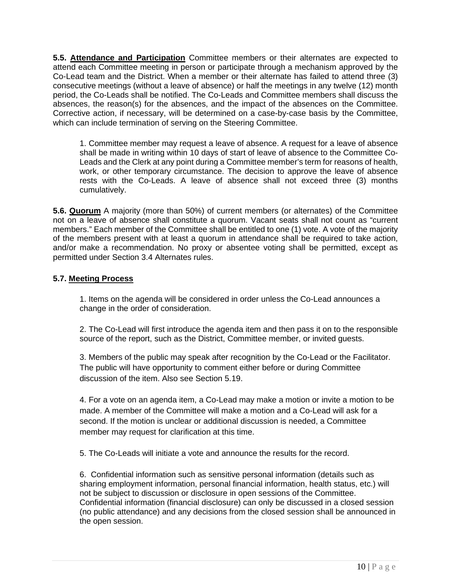<span id="page-9-0"></span>**5.5. Attendance and Participation** Committee members or their alternates are expected to attend each Committee meeting in person or participate through a mechanism approved by the Co-Lead team and the District. When a member or their alternate has failed to attend three (3) consecutive meetings (without a leave of absence) or half the meetings in any twelve (12) month period, the Co-Leads shall be notified. The Co-Leads and Committee members shall discuss the absences, the reason(s) for the absences, and the impact of the absences on the Committee. Corrective action, if necessary, will be determined on a case-by-case basis by the Committee, which can include termination of serving on the Steering Committee.

1. Committee member may request a leave of absence. A request for a leave of absence shall be made in writing within 10 days of start of leave of absence to the Committee Co-Leads and the Clerk at any point during a Committee member's term for reasons of health, work, or other temporary circumstance. The decision to approve the leave of absence rests with the Co-Leads. A leave of absence shall not exceed three (3) months cumulatively.

<span id="page-9-1"></span>**5.6. Quorum** A majority (more than 50%) of current members (or alternates) of the Committee not on a leave of absence shall constitute a quorum. Vacant seats shall not count as "current members." Each member of the Committee shall be entitled to one (1) vote. A vote of the majority of the members present with at least a quorum in attendance shall be required to take action, and/or make a recommendation. No proxy or absentee voting shall be permitted, except as permitted under Section 3.4 Alternates rules.

#### <span id="page-9-2"></span>**5.7. Meeting Process**

1. Items on the agenda will be considered in order unless the Co-Lead announces a change in the order of consideration.

2. The Co-Lead will first introduce the agenda item and then pass it on to the responsible source of the report, such as the District, Committee member, or invited guests.

3. Members of the public may speak after recognition by the Co-Lead or the Facilitator. The public will have opportunity to comment either before or during Committee discussion of the item. Also see Section 5.19.

4. For a vote on an agenda item, a Co-Lead may make a motion or invite a motion to be made. A member of the Committee will make a motion and a Co-Lead will ask for a second. If the motion is unclear or additional discussion is needed, a Committee member may request for clarification at this time.

5. The Co-Leads will initiate a vote and announce the results for the record.

6. Confidential information such as sensitive personal information (details such as sharing employment information, personal financial information, health status, etc.) will not be subject to discussion or disclosure in open sessions of the Committee. Confidential information (financial disclosure) can only be discussed in a closed session (no public attendance) and any decisions from the closed session shall be announced in the open session.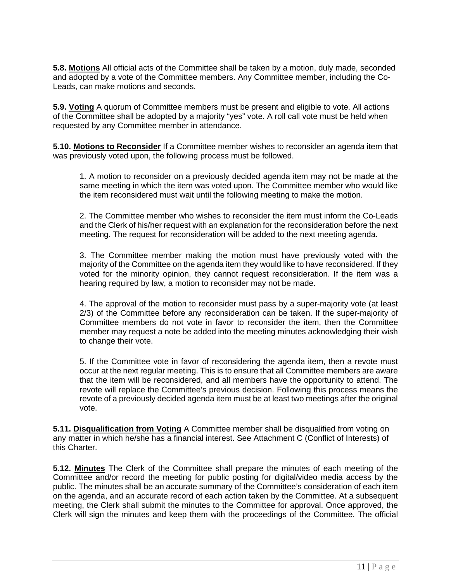<span id="page-10-0"></span>**5.8. Motions** All official acts of the Committee shall be taken by a motion, duly made, seconded and adopted by a vote of the Committee members. Any Committee member, including the Co-Leads, can make motions and seconds.

<span id="page-10-1"></span>**5.9. Voting** A quorum of Committee members must be present and eligible to vote. All actions of the Committee shall be adopted by a majority "yes" vote. A roll call vote must be held when requested by any Committee member in attendance.

<span id="page-10-2"></span>**5.10. Motions to Reconsider** If a Committee member wishes to reconsider an agenda item that was previously voted upon, the following process must be followed.

1. A motion to reconsider on a previously decided agenda item may not be made at the same meeting in which the item was voted upon. The Committee member who would like the item reconsidered must wait until the following meeting to make the motion.

2. The Committee member who wishes to reconsider the item must inform the Co-Leads and the Clerk of his/her request with an explanation for the reconsideration before the next meeting. The request for reconsideration will be added to the next meeting agenda.

3. The Committee member making the motion must have previously voted with the majority of the Committee on the agenda item they would like to have reconsidered. If they voted for the minority opinion, they cannot request reconsideration. If the item was a hearing required by law, a motion to reconsider may not be made.

4. The approval of the motion to reconsider must pass by a super-majority vote (at least 2/3) of the Committee before any reconsideration can be taken. If the super-majority of Committee members do not vote in favor to reconsider the item, then the Committee member may request a note be added into the meeting minutes acknowledging their wish to change their vote.

5. If the Committee vote in favor of reconsidering the agenda item, then a revote must occur at the next regular meeting. This is to ensure that all Committee members are aware that the item will be reconsidered, and all members have the opportunity to attend. The revote will replace the Committee's previous decision. Following this process means the revote of a previously decided agenda item must be at least two meetings after the original vote.

<span id="page-10-3"></span>**5.11. Disqualification from Voting** A Committee member shall be disqualified from voting on any matter in which he/she has a financial interest. See Attachment C (Conflict of Interests) of this Charter.

<span id="page-10-4"></span>**5.12. Minutes** The Clerk of the Committee shall prepare the minutes of each meeting of the Committee and/or record the meeting for public posting for digital/video media access by the public. The minutes shall be an accurate summary of the Committee's consideration of each item on the agenda, and an accurate record of each action taken by the Committee. At a subsequent meeting, the Clerk shall submit the minutes to the Committee for approval. Once approved, the Clerk will sign the minutes and keep them with the proceedings of the Committee. The official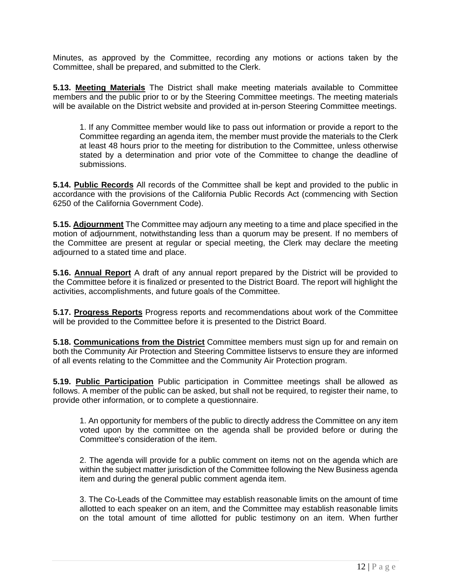Minutes, as approved by the Committee, recording any motions or actions taken by the Committee, shall be prepared, and submitted to the Clerk.

<span id="page-11-0"></span>**5.13. Meeting Materials** The District shall make meeting materials available to Committee members and the public prior to or by the Steering Committee meetings. The meeting materials will be available on the District website and provided at in-person Steering Committee meetings.

1. If any Committee member would like to pass out information or provide a report to the Committee regarding an agenda item, the member must provide the materials to the Clerk at least 48 hours prior to the meeting for distribution to the Committee, unless otherwise stated by a determination and prior vote of the Committee to change the deadline of submissions.

<span id="page-11-1"></span>**5.14. Public Records** All records of the Committee shall be kept and provided to the public in accordance with the provisions of the California Public Records Act (commencing with Section 6250 of the California Government Code).

<span id="page-11-2"></span>**5.15. Adjournment** The Committee may adjourn any meeting to a time and place specified in the motion of adjournment, notwithstanding less than a quorum may be present. If no members of the Committee are present at regular or special meeting, the Clerk may declare the meeting adjourned to a stated time and place.

<span id="page-11-3"></span>**5.16. Annual Report** A draft of any annual report prepared by the District will be provided to the Committee before it is finalized or presented to the District Board. The report will highlight the activities, accomplishments, and future goals of the Committee.

<span id="page-11-4"></span>**5.17. Progress Reports** Progress reports and recommendations about work of the Committee will be provided to the Committee before it is presented to the District Board.

<span id="page-11-5"></span>**5.18. Communications from the District** Committee members must sign up for and remain on both the Community Air Protection and Steering Committee listservs to ensure they are informed of all events relating to the Committee and the Community Air Protection program.

<span id="page-11-6"></span>**5.19. Public Participation** Public participation in Committee meetings shall be allowed as follows. A member of the public can be asked, but shall not be required, to register their name, to provide other information, or to complete a questionnaire.

1. An opportunity for members of the public to directly address the Committee on any item voted upon by the committee on the agenda shall be provided before or during the Committee's consideration of the item.

2. The agenda will provide for a public comment on items not on the agenda which are within the subject matter jurisdiction of the Committee following the New Business agenda item and during the general public comment agenda item.

3. The Co-Leads of the Committee may establish reasonable limits on the amount of time allotted to each speaker on an item, and the Committee may establish reasonable limits on the total amount of time allotted for public testimony on an item. When further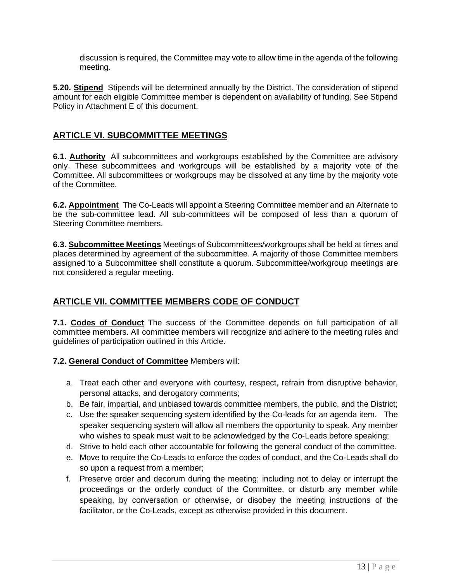discussion is required, the Committee may vote to allow time in the agenda of the following meeting.

<span id="page-12-0"></span>**5.20. Stipend** Stipends will be determined annually by the District. The consideration of stipend amount for each eligible Committee member is dependent on availability of funding. See Stipend Policy in Attachment E of this document.

#### <span id="page-12-2"></span><span id="page-12-1"></span>**ARTICLE VI. SUBCOMMITTEE MEETINGS**

**6.1. Authority** All subcommittees and workgroups established by the Committee are advisory only. These subcommittees and workgroups will be established by a majority vote of the Committee. All subcommittees or workgroups may be dissolved at any time by the majority vote of the Committee.

<span id="page-12-3"></span>**6.2. Appointment** The Co-Leads will appoint a Steering Committee member and an Alternate to be the sub-committee lead. All sub-committees will be composed of less than a quorum of Steering Committee members.

<span id="page-12-4"></span>**6.3. Subcommittee Meetings** Meetings of Subcommittees/workgroups shall be held at times and places determined by agreement of the subcommittee. A majority of those Committee members assigned to a Subcommittee shall constitute a quorum. Subcommittee/workgroup meetings are not considered a regular meeting.

### <span id="page-12-6"></span><span id="page-12-5"></span>**ARTICLE VII. COMMITTEE MEMBERS CODE OF CONDUCT**

**7.1. Codes of Conduct** The success of the Committee depends on full participation of all committee members. All committee members will recognize and adhere to the meeting rules and guidelines of participation outlined in this Article.

#### <span id="page-12-7"></span>**7.2. General Conduct of Committee** Members will:

- a. Treat each other and everyone with courtesy, respect, refrain from disruptive behavior, personal attacks, and derogatory comments;
- b. Be fair, impartial, and unbiased towards committee members, the public, and the District;
- c. Use the speaker sequencing system identified by the Co-leads for an agenda item. The speaker sequencing system will allow all members the opportunity to speak. Any member who wishes to speak must wait to be acknowledged by the Co-Leads before speaking;
- d. Strive to hold each other accountable for following the general conduct of the committee.
- e. Move to require the Co-Leads to enforce the codes of conduct, and the Co-Leads shall do so upon a request from a member;
- f. Preserve order and decorum during the meeting; including not to delay or interrupt the proceedings or the orderly conduct of the Committee, or disturb any member while speaking, by conversation or otherwise, or disobey the meeting instructions of the facilitator, or the Co-Leads, except as otherwise provided in this document.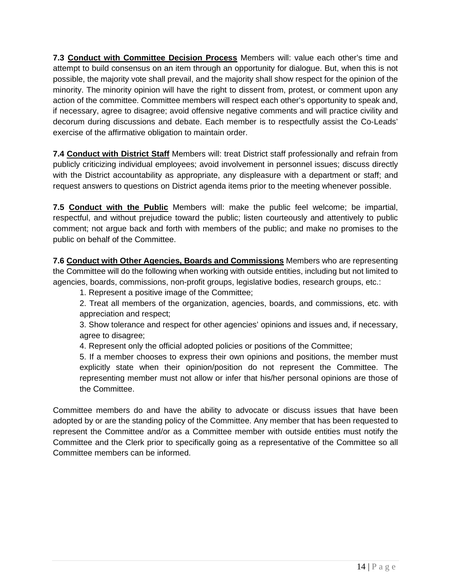<span id="page-13-0"></span>**7.3 Conduct with Committee Decision Process** Members will: value each other's time and attempt to build consensus on an item through an opportunity for dialogue. But, when this is not possible, the majority vote shall prevail, and the majority shall show respect for the opinion of the minority. The minority opinion will have the right to dissent from, protest, or comment upon any action of the committee. Committee members will respect each other's opportunity to speak and, if necessary, agree to disagree; avoid offensive negative comments and will practice civility and decorum during discussions and debate. Each member is to respectfully assist the Co-Leads' exercise of the affirmative obligation to maintain order.

<span id="page-13-1"></span>**7.4 Conduct with District Staff** Members will: treat District staff professionally and refrain from publicly criticizing individual employees; avoid involvement in personnel issues; discuss directly with the District accountability as appropriate, any displeasure with a department or staff; and request answers to questions on District agenda items prior to the meeting whenever possible.

<span id="page-13-2"></span>**7.5 Conduct with the Public** Members will: make the public feel welcome; be impartial, respectful, and without prejudice toward the public; listen courteously and attentively to public comment; not argue back and forth with members of the public; and make no promises to the public on behalf of the Committee.

<span id="page-13-3"></span>**7.6 Conduct with Other Agencies, Boards and Commissions** Members who are representing the Committee will do the following when working with outside entities, including but not limited to agencies, boards, commissions, non-profit groups, legislative bodies, research groups, etc.:

1. Represent a positive image of the Committee;

2. Treat all members of the organization, agencies, boards, and commissions, etc. with appreciation and respect;

3. Show tolerance and respect for other agencies' opinions and issues and, if necessary, agree to disagree;

4. Represent only the official adopted policies or positions of the Committee;

5. If a member chooses to express their own opinions and positions, the member must explicitly state when their opinion/position do not represent the Committee. The representing member must not allow or infer that his/her personal opinions are those of the Committee.

<span id="page-13-4"></span>Committee members do and have the ability to advocate or discuss issues that have been adopted by or are the standing policy of the Committee. Any member that has been requested to represent the Committee and/or as a Committee member with outside entities must notify the Committee and the Clerk prior to specifically going as a representative of the Committee so all Committee members can be informed.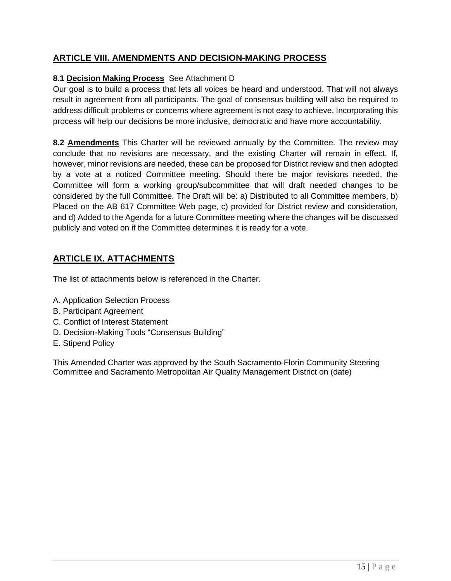# **ARTICLE VIII. AMENDMENTS AND DECISION-MAKING PROCESS**

#### <span id="page-14-0"></span>**8.1 Decision Making Process** See Attachment D

Our goal is to build a process that lets all voices be heard and understood. That will not always result in agreement from all participants. The goal of consensus building will also be required to address difficult problems or concerns where agreement is not easy to achieve. Incorporating this process will help our decisions be more inclusive, democratic and have more accountability.

<span id="page-14-1"></span>**8.2 Amendments** This Charter will be reviewed annually by the Committee. The review may conclude that no revisions are necessary, and the existing Charter will remain in effect. If, however, minor revisions are needed, these can be proposed for District review and then adopted by a vote at a noticed Committee meeting. Should there be major revisions needed, the Committee will form a working group/subcommittee that will draft needed changes to be considered by the full Committee. The Draft will be: a) Distributed to all Committee members, b) Placed on the AB 617 Committee Web page, c) provided for District review and consideration, and d) Added to the Agenda for a future Committee meeting where the changes will be discussed publicly and voted on if the Committee determines it is ready for a vote.

# <span id="page-14-2"></span>**ARTICLE IX. ATTACHMENTS**

The list of attachments below is referenced in the Charter.

- A. Application Selection Process
- B. Participant Agreement
- C. Conflict of Interest Statement
- D. Decision-Making Tools "Consensus Building"
- E. Stipend Policy

This Amended Charter was approved by the South Sacramento-Florin Community Steering Committee and Sacramento Metropolitan Air Quality Management District on (date)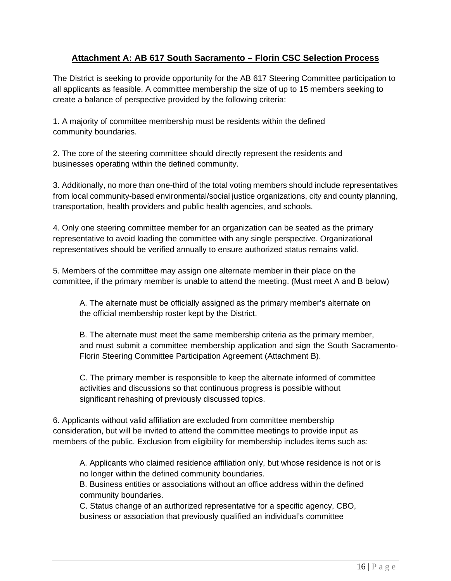# <span id="page-15-0"></span>**Attachment A: AB 617 South Sacramento – Florin CSC Selection Process**

The District is seeking to provide opportunity for the AB 617 Steering Committee participation to all applicants as feasible. A committee membership the size of up to 15 members seeking to create a balance of perspective provided by the following criteria:

1. A majority of committee membership must be residents within the defined community boundaries.

2. The core of the steering committee should directly represent the residents and businesses operating within the defined community.

3. Additionally, no more than one-third of the total voting members should include representatives from local community-based environmental/social justice organizations, city and county planning, transportation, health providers and public health agencies, and schools.

4. Only one steering committee member for an organization can be seated as the primary representative to avoid loading the committee with any single perspective. Organizational representatives should be verified annually to ensure authorized status remains valid.

5. Members of the committee may assign one alternate member in their place on the committee, if the primary member is unable to attend the meeting. (Must meet A and B below)

A. The alternate must be officially assigned as the primary member's alternate on the official membership roster kept by the District.

B. The alternate must meet the same membership criteria as the primary member, and must submit a committee membership application and sign the South Sacramento-Florin Steering Committee Participation Agreement (Attachment B).

C. The primary member is responsible to keep the alternate informed of committee activities and discussions so that continuous progress is possible without significant rehashing of previously discussed topics.

6. Applicants without valid affiliation are excluded from committee membership consideration, but will be invited to attend the committee meetings to provide input as members of the public. Exclusion from eligibility for membership includes items such as:

A. Applicants who claimed residence affiliation only, but whose residence is not or is no longer within the defined community boundaries.

B. Business entities or associations without an office address within the defined community boundaries.

C. Status change of an authorized representative for a specific agency, CBO, business or association that previously qualified an individual's committee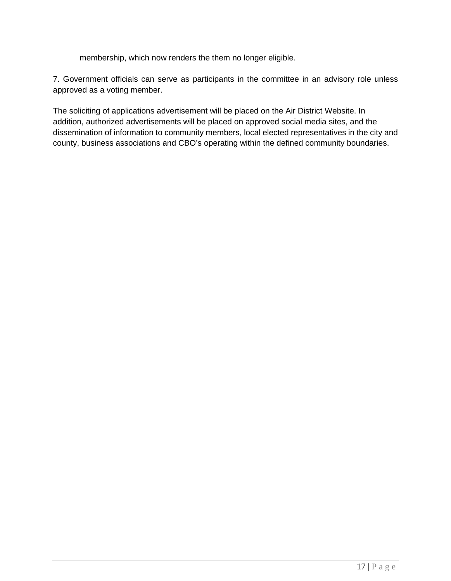membership, which now renders the them no longer eligible.

7. Government officials can serve as participants in the committee in an advisory role unless approved as a voting member.

The soliciting of applications advertisement will be placed on the Air District Website. In addition, authorized advertisements will be placed on approved social media sites, and the dissemination of information to community members, local elected representatives in the city and county, business associations and CBO's operating within the defined community boundaries.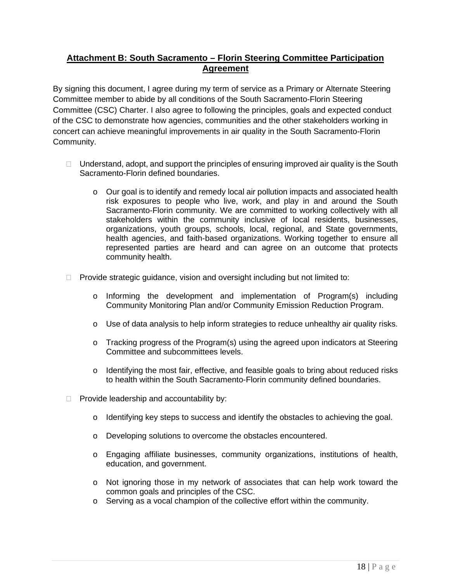#### <span id="page-17-0"></span>**Attachment B: South Sacramento – Florin Steering Committee Participation Agreement**

By signing this document, I agree during my term of service as a Primary or Alternate Steering Committee member to abide by all conditions of the South Sacramento-Florin Steering Committee (CSC) Charter. I also agree to following the principles, goals and expected conduct of the CSC to demonstrate how agencies, communities and the other stakeholders working in concert can achieve meaningful improvements in air quality in the South Sacramento-Florin Community.

- $\Box$  Understand, adopt, and support the principles of ensuring improved air quality is the South Sacramento-Florin defined boundaries.
	- o Our goal is to identify and remedy local air pollution impacts and associated health risk exposures to people who live, work, and play in and around the South Sacramento-Florin community. We are committed to working collectively with all stakeholders within the community inclusive of local residents, businesses, organizations, youth groups, schools, local, regional, and State governments, health agencies, and faith-based organizations. Working together to ensure all represented parties are heard and can agree on an outcome that protects community health.
- $\Box$  Provide strategic guidance, vision and oversight including but not limited to:
	- o Informing the development and implementation of Program(s) including Community Monitoring Plan and/or Community Emission Reduction Program.
	- $\circ$  Use of data analysis to help inform strategies to reduce unhealthy air quality risks.
	- o Tracking progress of the Program(s) using the agreed upon indicators at Steering Committee and subcommittees levels.
	- $\circ$  Identifying the most fair, effective, and feasible goals to bring about reduced risks to health within the South Sacramento-Florin community defined boundaries.
- $\Box$  Provide leadership and accountability by:
	- o Identifying key steps to success and identify the obstacles to achieving the goal.
	- o Developing solutions to overcome the obstacles encountered.
	- o Engaging affiliate businesses, community organizations, institutions of health, education, and government.
	- o Not ignoring those in my network of associates that can help work toward the common goals and principles of the CSC.
	- $\circ$  Serving as a vocal champion of the collective effort within the community.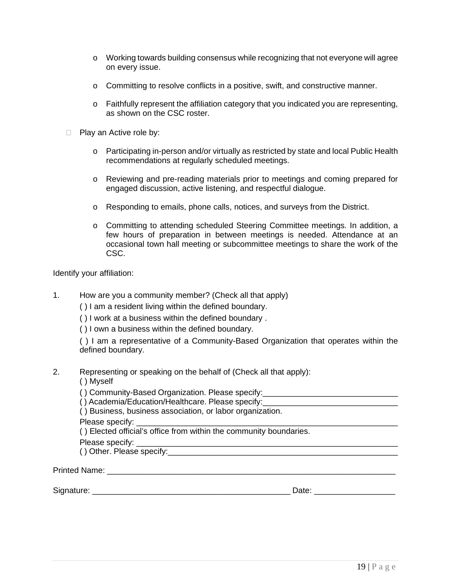- $\circ$  Working towards building consensus while recognizing that not everyone will agree on every issue.
- o Committing to resolve conflicts in a positive, swift, and constructive manner.
- $\circ$  Faithfully represent the affiliation category that you indicated you are representing, as shown on the CSC roster.
- $\Box$  Play an Active role by:
	- o Participating in-person and/or virtually as restricted by state and local Public Health recommendations at regularly scheduled meetings.
	- o Reviewing and pre-reading materials prior to meetings and coming prepared for engaged discussion, active listening, and respectful dialogue.
	- o Responding to emails, phone calls, notices, and surveys from the District.
	- o Committing to attending scheduled Steering Committee meetings. In addition, a few hours of preparation in between meetings is needed. Attendance at an occasional town hall meeting or subcommittee meetings to share the work of the CSC.

Identify your affiliation:

- 1. How are you a community member? (Check all that apply)
	- ( ) I am a resident living within the defined boundary.
	- ( ) I work at a business within the defined boundary .
	- ( ) I own a business within the defined boundary.

( ) I am a representative of a Community-Based Organization that operates within the defined boundary.

- 2. Representing or speaking on the behalf of (Check all that apply):
	- ( ) Myself
	- () Community-Based Organization. Please specify:
	- () Academia/Education/Healthcare. Please specify:

( ) Business, business association, or labor organization.

Please specify:

( ) Elected official's office from within the community boundaries.

Please specify:

() Other. Please specify:

Printed Name: **Example 12** 

Signature: \_\_\_\_\_\_\_\_\_\_\_\_\_\_\_\_\_\_\_\_\_\_\_\_\_\_\_\_\_\_\_\_\_\_\_\_\_\_\_\_\_\_\_\_ Date: \_\_\_\_\_\_\_\_\_\_\_\_\_\_\_\_\_\_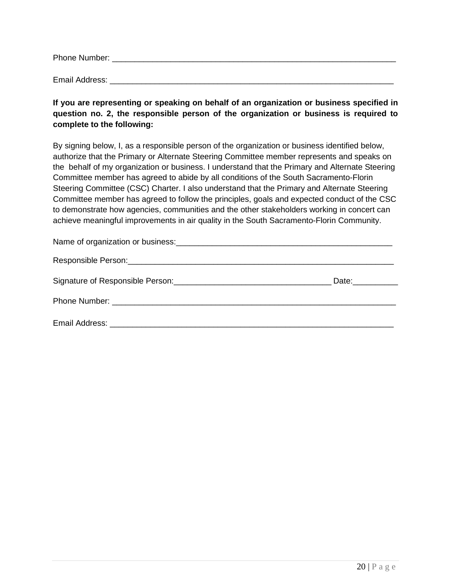| Phone Number: |  |  |  |
|---------------|--|--|--|
|               |  |  |  |

Email Address: **Email Address: Email Address:** 

**If you are representing or speaking on behalf of an organization or business specified in question no. 2, the responsible person of the organization or business is required to complete to the following:** 

By signing below, I, as a responsible person of the organization or business identified below, authorize that the Primary or Alternate Steering Committee member represents and speaks on the behalf of my organization or business. I understand that the Primary and Alternate Steering Committee member has agreed to abide by all conditions of the South Sacramento-Florin Steering Committee (CSC) Charter. I also understand that the Primary and Alternate Steering Committee member has agreed to follow the principles, goals and expected conduct of the CSC to demonstrate how agencies, communities and the other stakeholders working in concert can achieve meaningful improvements in air quality in the South Sacramento-Florin Community.

| Signature of Responsible Person: 2008. [19] Parameters and Responsible Person: | Date: the contract of the contract of the contract of the contract of the contract of the contract of the contract of the contract of the contract of the contract of the contract of the contract of the contract of the cont |
|--------------------------------------------------------------------------------|--------------------------------------------------------------------------------------------------------------------------------------------------------------------------------------------------------------------------------|
|                                                                                |                                                                                                                                                                                                                                |
|                                                                                |                                                                                                                                                                                                                                |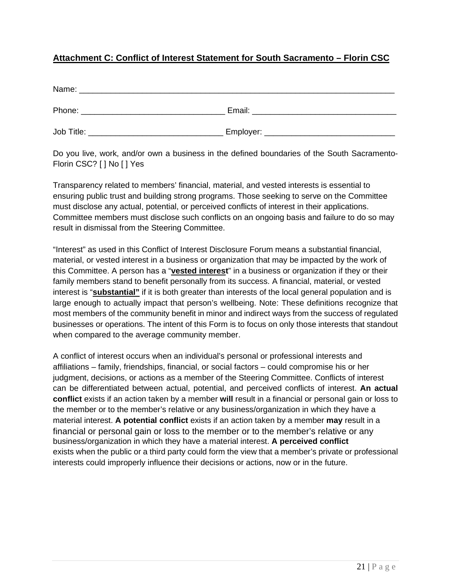# <span id="page-20-0"></span>**Attachment C: Conflict of Interest Statement for South Sacramento – Florin CSC**

| Name:      |           |
|------------|-----------|
| Phone:     | Email:    |
| Job Title: | Employer: |

Do you live, work, and/or own a business in the defined boundaries of the South Sacramento-Florin CSC? [ ] No [ ] Yes

Transparency related to members' financial, material, and vested interests is essential to ensuring public trust and building strong programs. Those seeking to serve on the Committee must disclose any actual, potential, or perceived conflicts of interest in their applications. Committee members must disclose such conflicts on an ongoing basis and failure to do so may result in dismissal from the Steering Committee.

"Interest" as used in this Conflict of Interest Disclosure Forum means a substantial financial, material, or vested interest in a business or organization that may be impacted by the work of this Committee. A person has a "**vested interest**" in a business or organization if they or their family members stand to benefit personally from its success. A financial, material, or vested interest is "**substantial"** if it is both greater than interests of the local general population and is large enough to actually impact that person's wellbeing. Note: These definitions recognize that most members of the community benefit in minor and indirect ways from the success of regulated businesses or operations. The intent of this Form is to focus on only those interests that standout when compared to the average community member.

A conflict of interest occurs when an individual's personal or professional interests and affiliations – family, friendships, financial, or social factors – could compromise his or her judgment, decisions, or actions as a member of the Steering Committee. Conflicts of interest can be differentiated between actual, potential, and perceived conflicts of interest. **An actual conflict** exists if an action taken by a member **will** result in a financial or personal gain or loss to the member or to the member's relative or any business/organization in which they have a material interest. **A potential conflict** exists if an action taken by a member **may** result in a financial or personal gain or loss to the member or to the member's relative or any business/organization in which they have a material interest. **A perceived conflict**  exists when the public or a third party could form the view that a member's private or professional interests could improperly influence their decisions or actions, now or in the future.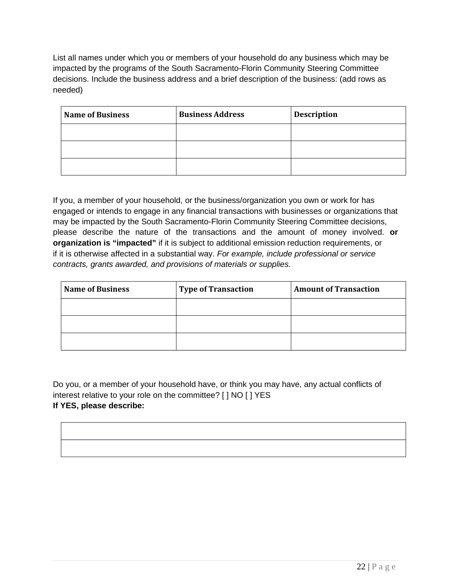List all names under which you or members of your household do any business which may be impacted by the programs of the South Sacramento-Florin Community Steering Committee decisions. Include the business address and a brief description of the business: (add rows as needed)

| <b>Name of Business</b> | <b>Business Address</b> | <b>Description</b> |
|-------------------------|-------------------------|--------------------|
|                         |                         |                    |
|                         |                         |                    |
|                         |                         |                    |

If you, a member of your household, or the business/organization you own or work for has engaged or intends to engage in any financial transactions with businesses or organizations that may be impacted by the South Sacramento-Florin Community Steering Committee decisions, please describe the nature of the transactions and the amount of money involved. **or organization is "impacted"** if it is subject to additional emission reduction requirements, or if it is otherwise affected in a substantial way. *For example, include professional or service contracts, grants awarded, and provisions of materials or supplies.* 

| <b>Name of Business</b> | <b>Type of Transaction</b> | <b>Amount of Transaction</b> |
|-------------------------|----------------------------|------------------------------|
|                         |                            |                              |
|                         |                            |                              |
|                         |                            |                              |

Do you, or a member of your household have, or think you may have, any actual conflicts of interest relative to your role on the committee? [ ] NO [ ] YES **If YES, please describe:**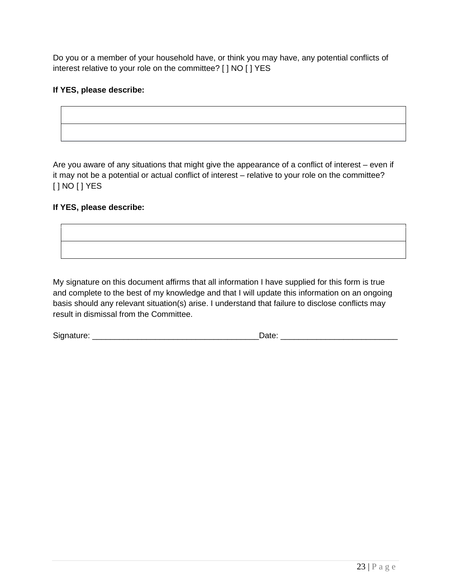Do you or a member of your household have, or think you may have, any potential conflicts of interest relative to your role on the committee? [ ] NO [ ] YES

#### **If YES, please describe:**

Are you aware of any situations that might give the appearance of a conflict of interest – even if it may not be a potential or actual conflict of interest – relative to your role on the committee? [ ] NO [ ] YES

#### **If YES, please describe:**

My signature on this document affirms that all information I have supplied for this form is true and complete to the best of my knowledge and that I will update this information on an ongoing basis should any relevant situation(s) arise. I understand that failure to disclose conflicts may result in dismissal from the Committee.

Signature: \_\_\_\_\_\_\_\_\_\_\_\_\_\_\_\_\_\_\_\_\_\_\_\_\_\_\_\_\_\_\_\_\_\_\_\_\_Date: \_\_\_\_\_\_\_\_\_\_\_\_\_\_\_\_\_\_\_\_\_\_\_\_\_\_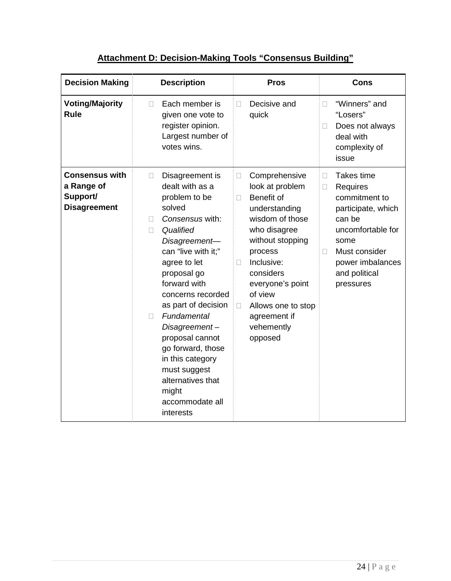|  | <b>Attachment D: Decision-Making Tools "Consensus Building"</b> |  |  |  |
|--|-----------------------------------------------------------------|--|--|--|
|--|-----------------------------------------------------------------|--|--|--|

<span id="page-23-0"></span>

| <b>Decision Making</b>                                                 | <b>Description</b>                                                                                                                                                                                                                                                                                                                                                                                                                                 | <b>Pros</b>                                                                                                                                                                                                                                                                      | <b>Cons</b>                                                                                                                                                                                                   |
|------------------------------------------------------------------------|----------------------------------------------------------------------------------------------------------------------------------------------------------------------------------------------------------------------------------------------------------------------------------------------------------------------------------------------------------------------------------------------------------------------------------------------------|----------------------------------------------------------------------------------------------------------------------------------------------------------------------------------------------------------------------------------------------------------------------------------|---------------------------------------------------------------------------------------------------------------------------------------------------------------------------------------------------------------|
| <b>Voting/Majority</b><br><b>Rule</b>                                  | Each member is<br>$\mathbb{R}^n$<br>given one vote to<br>register opinion.<br>Largest number of<br>votes wins.                                                                                                                                                                                                                                                                                                                                     | Decisive and<br>П.<br>quick                                                                                                                                                                                                                                                      | "Winners" and<br>П<br>"Losers"<br>Does not always<br>$\Box$<br>deal with<br>complexity of<br>issue                                                                                                            |
| <b>Consensus with</b><br>a Range of<br>Support/<br><b>Disagreement</b> | Disagreement is<br>$\Box$<br>dealt with as a<br>problem to be<br>solved<br>Consensus with:<br>$\mathbb{R}^n$<br>Qualified<br>П.<br>Disagreement-<br>can "live with it;"<br>agree to let<br>proposal go<br>forward with<br>concerns recorded<br>as part of decision<br>Fundamental<br>П.<br>Disagreement-<br>proposal cannot<br>go forward, those<br>in this category<br>must suggest<br>alternatives that<br>might<br>accommodate all<br>interests | Comprehensive<br>0<br>look at problem<br>Benefit of<br>П<br>understanding<br>wisdom of those<br>who disagree<br>without stopping<br>process<br>Inclusive:<br>П.<br>considers<br>everyone's point<br>of view<br>Allows one to stop<br>П.<br>agreement if<br>vehemently<br>opposed | Takes time<br>$\Box$<br>Requires<br>$\Box$<br>commitment to<br>participate, which<br>can be<br>uncomfortable for<br>some<br>Must consider<br>$\mathbb{R}^n$<br>power imbalances<br>and political<br>pressures |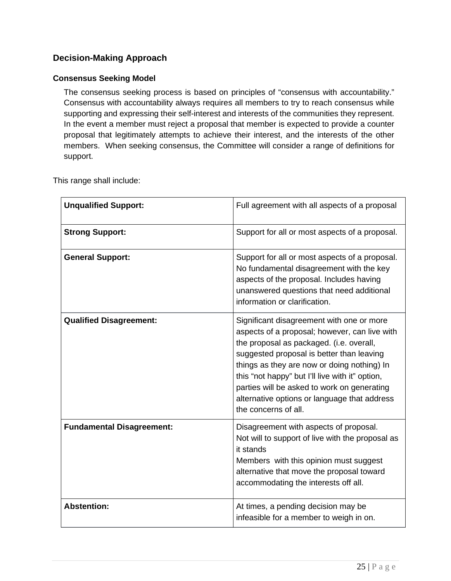### **Decision-Making Approach**

#### **Consensus Seeking Model**

The consensus seeking process is based on principles of "consensus with accountability." Consensus with accountability always requires all members to try to reach consensus while supporting and expressing their self-interest and interests of the communities they represent. In the event a member must reject a proposal that member is expected to provide a counter proposal that legitimately attempts to achieve their interest, and the interests of the other members. When seeking consensus, the Committee will consider a range of definitions for support.

This range shall include:

| <b>Unqualified Support:</b>      | Full agreement with all aspects of a proposal                                                                                                                                                                                                                                                                                                                                                                |  |  |
|----------------------------------|--------------------------------------------------------------------------------------------------------------------------------------------------------------------------------------------------------------------------------------------------------------------------------------------------------------------------------------------------------------------------------------------------------------|--|--|
| <b>Strong Support:</b>           | Support for all or most aspects of a proposal.                                                                                                                                                                                                                                                                                                                                                               |  |  |
| <b>General Support:</b>          | Support for all or most aspects of a proposal.<br>No fundamental disagreement with the key<br>aspects of the proposal. Includes having<br>unanswered questions that need additional<br>information or clarification.                                                                                                                                                                                         |  |  |
| <b>Qualified Disagreement:</b>   | Significant disagreement with one or more<br>aspects of a proposal; however, can live with<br>the proposal as packaged. (i.e. overall,<br>suggested proposal is better than leaving<br>things as they are now or doing nothing) In<br>this "not happy" but I'll live with it" option,<br>parties will be asked to work on generating<br>alternative options or language that address<br>the concerns of all. |  |  |
| <b>Fundamental Disagreement:</b> | Disagreement with aspects of proposal.<br>Not will to support of live with the proposal as<br>it stands<br>Members with this opinion must suggest<br>alternative that move the proposal toward<br>accommodating the interests off all.                                                                                                                                                                       |  |  |
| <b>Abstention:</b>               | At times, a pending decision may be<br>infeasible for a member to weigh in on.                                                                                                                                                                                                                                                                                                                               |  |  |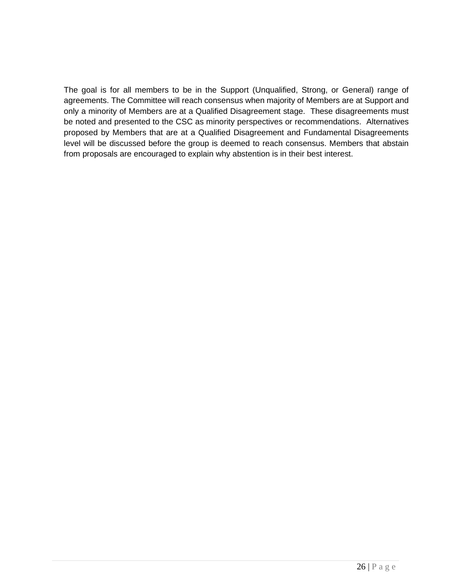The goal is for all members to be in the Support (Unqualified, Strong, or General) range of agreements. The Committee will reach consensus when majority of Members are at Support and only a minority of Members are at a Qualified Disagreement stage. These disagreements must be noted and presented to the CSC as minority perspectives or recommendations. Alternatives proposed by Members that are at a Qualified Disagreement and Fundamental Disagreements level will be discussed before the group is deemed to reach consensus. Members that abstain from proposals are encouraged to explain why abstention is in their best interest.